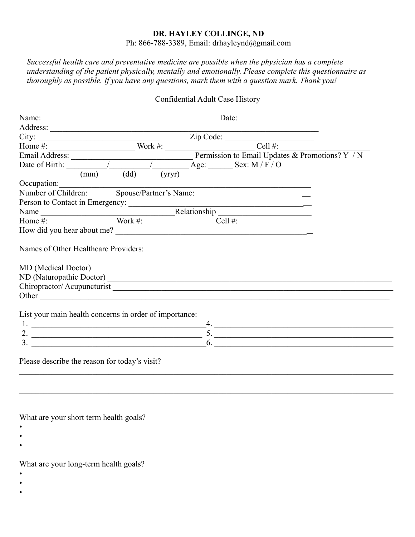## **DR. HAYLEY COLLINGE, ND**

Ph: 866-788-3389, Email: drhayleynd@gmail.com

*Successful health care and preventative medicine are possible when the physician has a complete understanding of the patient physically, mentally and emotionally. Please complete this questionnaire as thoroughly as possible. If you have any questions, mark them with a question mark. Thank you!*

## Confidential Adult Case History

| Person to Contact in Emergency:<br>Name Relationship<br>Home #: Work #: Nork #: Cell #:                                                                                                                                        |  |  |  |                  |                     |
|--------------------------------------------------------------------------------------------------------------------------------------------------------------------------------------------------------------------------------|--|--|--|------------------|---------------------|
| How did you hear about me?                                                                                                                                                                                                     |  |  |  |                  |                     |
| Other contracts and the contract of the contract of the contract of the contract of the contract of the contract of the contract of the contract of the contract of the contract of the contract of the contract of the contra |  |  |  |                  |                     |
| List your main health concerns in order of importance:                                                                                                                                                                         |  |  |  |                  |                     |
|                                                                                                                                                                                                                                |  |  |  | $-4.$            |                     |
|                                                                                                                                                                                                                                |  |  |  |                  | 2. $\frac{1}{2}$ 5. |
|                                                                                                                                                                                                                                |  |  |  | $\overline{6}$ . |                     |
| Please describe the reason for today's visit?                                                                                                                                                                                  |  |  |  |                  |                     |
|                                                                                                                                                                                                                                |  |  |  |                  |                     |

What are your short term health goals?

- •
- •
- •

What are your long-term health goals?

- •
- •
- •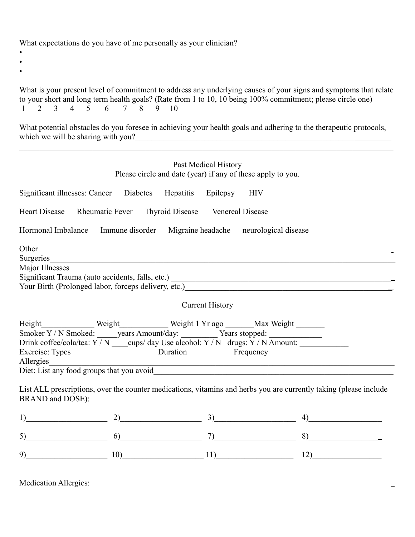What expectations do you have of me personally as your clinician?

- •
- •
- •

What is your present level of commitment to address any underlying causes of your signs and symptoms that relate to your short and long term health goals? (Rate from 1 to 10, 10 being 100% commitment; please circle one)<br> $1 \t2 \t3 \t4 \t5 \t6 \t7 \t8 \t9 \t10$ 1 2 3 4 5 6 7 8 9 10

What potential obstacles do you foresee in achieving your health goals and adhering to the therapeutic protocols, which we will be sharing with you?

 $\mathcal{L}_\mathcal{L} = \mathcal{L}_\mathcal{L} = \mathcal{L}_\mathcal{L} = \mathcal{L}_\mathcal{L} = \mathcal{L}_\mathcal{L} = \mathcal{L}_\mathcal{L} = \mathcal{L}_\mathcal{L} = \mathcal{L}_\mathcal{L} = \mathcal{L}_\mathcal{L} = \mathcal{L}_\mathcal{L} = \mathcal{L}_\mathcal{L} = \mathcal{L}_\mathcal{L} = \mathcal{L}_\mathcal{L} = \mathcal{L}_\mathcal{L} = \mathcal{L}_\mathcal{L} = \mathcal{L}_\mathcal{L} = \mathcal{L}_\mathcal{L}$ 

| Past Medical History<br>Please circle and date (year) if any of these apply to you.                                                                                                                                          |                                                                |                                                                                                                      |                  |  |  |  |
|------------------------------------------------------------------------------------------------------------------------------------------------------------------------------------------------------------------------------|----------------------------------------------------------------|----------------------------------------------------------------------------------------------------------------------|------------------|--|--|--|
|                                                                                                                                                                                                                              | Significant illnesses: Cancer Diabetes Hepatitis Epilepsy      | <b>HIV</b>                                                                                                           |                  |  |  |  |
|                                                                                                                                                                                                                              | Heart Disease Rheumatic Fever Thyroid Disease Venereal Disease |                                                                                                                      |                  |  |  |  |
|                                                                                                                                                                                                                              |                                                                | Hormonal Imbalance Immune disorder Migraine headache neurological disease                                            |                  |  |  |  |
| Other                                                                                                                                                                                                                        |                                                                | <u> 1989 - Johann Stoff, amerikansk politiker (d. 1989)</u>                                                          |                  |  |  |  |
| Major Illnesses                                                                                                                                                                                                              |                                                                |                                                                                                                      |                  |  |  |  |
|                                                                                                                                                                                                                              |                                                                |                                                                                                                      |                  |  |  |  |
|                                                                                                                                                                                                                              |                                                                |                                                                                                                      |                  |  |  |  |
|                                                                                                                                                                                                                              |                                                                | <b>Current History</b>                                                                                               |                  |  |  |  |
|                                                                                                                                                                                                                              |                                                                |                                                                                                                      |                  |  |  |  |
|                                                                                                                                                                                                                              |                                                                |                                                                                                                      |                  |  |  |  |
|                                                                                                                                                                                                                              |                                                                | Drink coffee/cola/tea: Y / N ____ cups/ day Use alcohol: Y / N drugs: Y / N Amount: _______________                  |                  |  |  |  |
| Allergies                                                                                                                                                                                                                    |                                                                |                                                                                                                      |                  |  |  |  |
|                                                                                                                                                                                                                              |                                                                | <u> 2002 - Jan James James James James James James James James James James James James James James James James J</u> |                  |  |  |  |
|                                                                                                                                                                                                                              |                                                                |                                                                                                                      |                  |  |  |  |
| <b>BRAND</b> and DOSE):                                                                                                                                                                                                      |                                                                | List ALL prescriptions, over the counter medications, vitamins and herbs you are currently taking (please include    |                  |  |  |  |
|                                                                                                                                                                                                                              |                                                                | $1)$ 3)                                                                                                              | $\left(4\right)$ |  |  |  |
|                                                                                                                                                                                                                              |                                                                | 5) 6) 7) 8)                                                                                                          |                  |  |  |  |
| $9)$ and $9$ and $9$ and $9$ and $9$ and $9$ and $9$ and $9$ and $9$ and $9$ and $9$ and $9$ and $9$ and $9$ and $9$ and $9$ and $9$ and $9$ and $9$ and $9$ and $9$ and $9$ and $9$ and $9$ and $9$ and $9$ and $9$ and $9$ |                                                                | $10)$ $11)$                                                                                                          | 12)              |  |  |  |
|                                                                                                                                                                                                                              |                                                                |                                                                                                                      |                  |  |  |  |

Medication Allergies: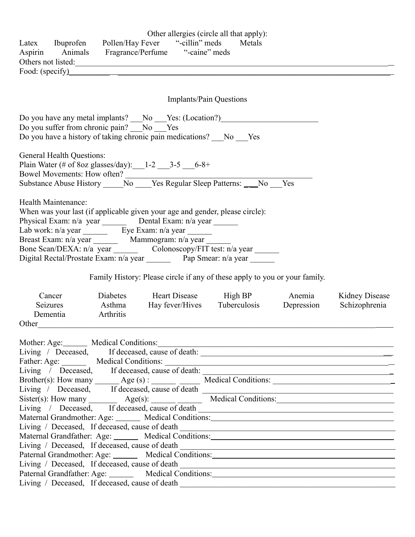| Latex Ibuprofen Pollen/Hay Fever "-cillin" meds Metals<br>Aspirin Animals Fragrance/Perfume "-caine" meds<br>Others not listed:<br>Food: (specify)                                                                                                                                                                                                                                                                                                                                                                                                                                                                                                                                                                                                                                                                                                                                                                                                                                             |                                                                            | Other allergies (circle all that apply):                     |                                                             |
|------------------------------------------------------------------------------------------------------------------------------------------------------------------------------------------------------------------------------------------------------------------------------------------------------------------------------------------------------------------------------------------------------------------------------------------------------------------------------------------------------------------------------------------------------------------------------------------------------------------------------------------------------------------------------------------------------------------------------------------------------------------------------------------------------------------------------------------------------------------------------------------------------------------------------------------------------------------------------------------------|----------------------------------------------------------------------------|--------------------------------------------------------------|-------------------------------------------------------------|
|                                                                                                                                                                                                                                                                                                                                                                                                                                                                                                                                                                                                                                                                                                                                                                                                                                                                                                                                                                                                |                                                                            | Implants/Pain Questions                                      |                                                             |
| Do you have any metal implants? No Yes: (Location?)<br>Do you suffer from chronic pain? No Ves<br>Do you have a history of taking chronic pain medications? No Yes                                                                                                                                                                                                                                                                                                                                                                                                                                                                                                                                                                                                                                                                                                                                                                                                                             |                                                                            |                                                              |                                                             |
| <b>General Health Questions:</b><br>Plain Water (# of 8oz glasses/day): $1-2$ 3-5 6-8+                                                                                                                                                                                                                                                                                                                                                                                                                                                                                                                                                                                                                                                                                                                                                                                                                                                                                                         |                                                                            |                                                              |                                                             |
| Health Maintenance:<br>When was your last (if applicable given your age and gender, please circle):<br>Physical Exam: n/a year __________ Dental Exam: n/a year ________<br>Digital Rectal/Prostate Exam: n/a year Pap Smear: n/a year ______                                                                                                                                                                                                                                                                                                                                                                                                                                                                                                                                                                                                                                                                                                                                                  |                                                                            |                                                              |                                                             |
|                                                                                                                                                                                                                                                                                                                                                                                                                                                                                                                                                                                                                                                                                                                                                                                                                                                                                                                                                                                                | Family History: Please circle if any of these apply to you or your family. |                                                              |                                                             |
| Cancer<br>Asthma<br><b>Seizures</b><br>Arthritis<br>Dementia<br>Other                                                                                                                                                                                                                                                                                                                                                                                                                                                                                                                                                                                                                                                                                                                                                                                                                                                                                                                          | Diabetes Heart Disease High BP Anemia Kidney Disease                       | Hay fever/Hives Tuberculosis Depression                      | Schizophrenia                                               |
| Mother: Age: Medical Conditions:<br>Living / Deceased, If deceased, cause of death: _________________________________<br>Living / Deceased, If deceased, cause of death: _________________________________<br>Living / Deceased, If deceased, cause of death __________________________________<br>Maternal Grandmother: Age: Medical Conditions: Maternal Grandmother: Age: Medical Conditions:<br>Living / Deceased, If deceased, cause of death __________________________________<br>Maternal Grandfather: Age: ______ Medical Conditions: ___________________________<br>Living / Deceased, If deceased, cause of death __________________________________<br>Paternal Grandmother: Age: Medical Conditions: Medical Conditions: Maternal Grandmother: Age: Medical Conditions:<br>Paternal Grandfather: Age: Medical Conditions: Medical Conditions: Maternal Grandfather: Age: Medical Conditions:<br>Living / Deceased, If deceased, cause of death __________________________________ |                                                                            | <u> 1989 - Johann Stoff, Amerikaansk politiker (d. 1989)</u> | <u> 1989 - Andrea Stadt Britain, amerikansk politiker (</u> |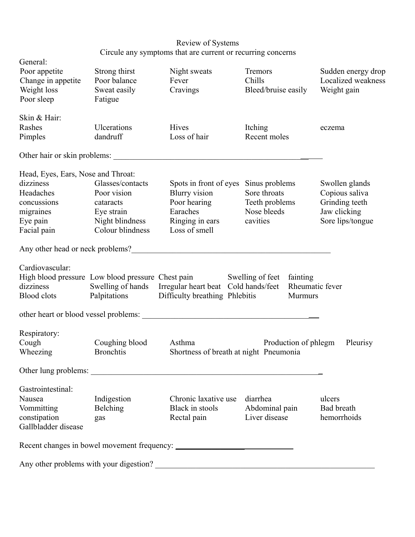| Review of Systems                                           |
|-------------------------------------------------------------|
| Circule any symptoms that are current or recurring concerns |

| General:                           |                                         |                                                                                                                                                                                                                                        |                                             |                    |
|------------------------------------|-----------------------------------------|----------------------------------------------------------------------------------------------------------------------------------------------------------------------------------------------------------------------------------------|---------------------------------------------|--------------------|
| Poor appetite                      | Strong thirst<br>Poor balance           | Night sweats                                                                                                                                                                                                                           | Tremors                                     | Sudden energy drop |
| Change in appetite<br>Weight loss  |                                         | Fever<br>Cravings                                                                                                                                                                                                                      | Chills                                      | Localized weakness |
| Poor sleep                         | Sweat easily                            |                                                                                                                                                                                                                                        | Bleed/bruise easily                         | Weight gain        |
|                                    | Fatigue                                 |                                                                                                                                                                                                                                        |                                             |                    |
| Skin & Hair:                       |                                         |                                                                                                                                                                                                                                        |                                             |                    |
| Rashes                             | Ulcerations                             | Hives                                                                                                                                                                                                                                  | Itching                                     | eczema             |
| Pimples                            | dandruff                                | Loss of hair                                                                                                                                                                                                                           | Recent moles                                |                    |
|                                    |                                         | Other hair or skin problems:                                                                                                                                                                                                           |                                             |                    |
| Head, Eyes, Ears, Nose and Throat: |                                         |                                                                                                                                                                                                                                        |                                             |                    |
| dizziness                          | Glasses/contacts                        | Spots in front of eyes                                                                                                                                                                                                                 | Sinus problems                              | Swollen glands     |
| Headaches                          | Poor vision                             | Blurry vision                                                                                                                                                                                                                          | Sore throats                                | Copious saliva     |
| concussions                        | cataracts                               | Poor hearing                                                                                                                                                                                                                           | Teeth problems                              | Grinding teeth     |
| migraines                          | Eye strain                              | Earaches                                                                                                                                                                                                                               | Nose bleeds                                 | Jaw clicking       |
| Eye pain                           | Night blindness                         | Ringing in ears                                                                                                                                                                                                                        | cavities                                    | Sore lips/tongue   |
| Facial pain                        | Colour blindness                        | Loss of smell                                                                                                                                                                                                                          |                                             |                    |
|                                    |                                         | Any other head or neck problems?<br><u>Letter and the set of the set of the set of the set of the set of the set of the set of the set of the set of the set of the set of the set of the set of the set of the set of the set of </u> |                                             |                    |
| Cardiovascular:                    |                                         |                                                                                                                                                                                                                                        |                                             |                    |
|                                    |                                         | High blood pressure Low blood pressure Chest pain Swelling of feet                                                                                                                                                                     | fainting                                    |                    |
| dizziness                          |                                         | Swelling of hands Irregular heart beat Cold hands/feet                                                                                                                                                                                 |                                             | Rheumatic fever    |
| Blood clots                        |                                         | Palpitations Difficulty breathing Phlebitis                                                                                                                                                                                            | <b>Murmurs</b>                              |                    |
|                                    |                                         |                                                                                                                                                                                                                                        |                                             |                    |
| Respiratory:                       |                                         |                                                                                                                                                                                                                                        |                                             |                    |
| Cough                              | Coughing blood                          | Asthma                                                                                                                                                                                                                                 | Production of phlegm                        | Pleurisy           |
| Wheezing                           | <b>Bronchtis</b>                        | Shortness of breath at night Pneumonia                                                                                                                                                                                                 |                                             |                    |
| Other lung problems:               |                                         |                                                                                                                                                                                                                                        |                                             |                    |
| Gastrointestinal:                  |                                         |                                                                                                                                                                                                                                        |                                             |                    |
| Nausea                             | Indigestion                             | Chronic laxative use                                                                                                                                                                                                                   | diarrhea                                    | ulcers             |
| Vommitting                         | Belching                                | <b>Black</b> in stools                                                                                                                                                                                                                 | Abdominal pain                              | <b>Bad</b> breath  |
| constipation                       | gas                                     | Rectal pain                                                                                                                                                                                                                            | Liver disease                               | hemorrhoids        |
| Gallbladder disease                |                                         |                                                                                                                                                                                                                                        |                                             |                    |
|                                    |                                         |                                                                                                                                                                                                                                        |                                             |                    |
|                                    | Any other problems with your digestion? |                                                                                                                                                                                                                                        | <u> 1980 - Jan Barbara Barbara, masa ka</u> |                    |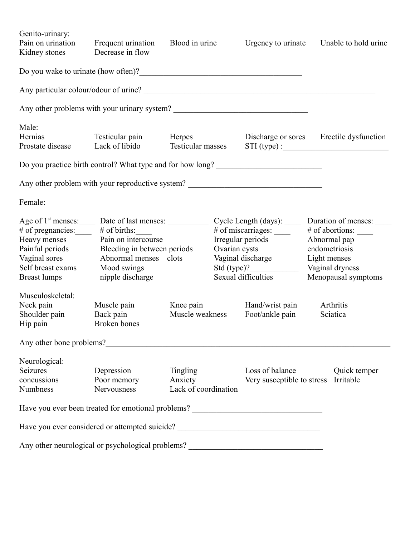| Genito-urinary:<br>Pain on urination<br>Kidney stones | Frequent urination<br>Decrease in flow                                            | Blood in urine              |               | Urgency to urinate                                                               |                 | Unable to hold urine  |  |
|-------------------------------------------------------|-----------------------------------------------------------------------------------|-----------------------------|---------------|----------------------------------------------------------------------------------|-----------------|-----------------------|--|
|                                                       |                                                                                   |                             |               |                                                                                  |                 |                       |  |
|                                                       |                                                                                   |                             |               |                                                                                  |                 |                       |  |
|                                                       | Any other problems with your urinary system?                                      |                             |               |                                                                                  |                 |                       |  |
| Male:                                                 |                                                                                   |                             |               |                                                                                  |                 |                       |  |
| Hernias<br>Prostate disease                           | Testicular pain<br>Lack of libido                                                 | Herpes<br>Testicular masses |               | Discharge or sores Erectile dysfunction<br>$STI$ (type) :                        |                 |                       |  |
|                                                       | Do you practice birth control? What type and for how long?                        |                             |               |                                                                                  |                 |                       |  |
|                                                       | Any other problem with your reproductive system? _______________________________  |                             |               |                                                                                  |                 |                       |  |
| Female:                                               |                                                                                   |                             |               |                                                                                  |                 |                       |  |
| # of pregnancies:                                     | $#$ of births:                                                                    |                             |               | Cycle Length (days): ______ Duration of menses: ____<br># of miscarriages: _____ |                 | # of abortions: _____ |  |
| Heavy menses                                          | Pain on intercourse                                                               |                             |               | Irregular periods                                                                | Abnormal pap    |                       |  |
| Painful periods                                       | Bleeding in between periods                                                       |                             | Ovarian cysts |                                                                                  | endometriosis   |                       |  |
| Vaginal sores                                         | Abnormal menses clots                                                             |                             |               | Vaginal discharge                                                                | Light menses    |                       |  |
| Self breast exams                                     | Mood swings                                                                       |                             |               | Std (type)?                                                                      | Vaginal dryness |                       |  |
| <b>Breast lumps</b>                                   | nipple discharge                                                                  |                             |               | Sexual difficulties                                                              |                 | Menopausal symptoms   |  |
| Musculoskeletal:                                      |                                                                                   |                             |               |                                                                                  |                 |                       |  |
| Neck pain                                             | Muscle pain                                                                       | Knee pain                   |               | Hand/wrist pain                                                                  |                 | Arthritis             |  |
| Shoulder pain<br>Hip pain                             | Back pain<br><b>Broken</b> bones                                                  | Muscle weakness             |               | Foot/ankle pain                                                                  |                 | Sciatica              |  |
|                                                       | Any other bone problems?                                                          |                             |               |                                                                                  |                 |                       |  |
| Neurological:                                         |                                                                                   |                             |               |                                                                                  |                 |                       |  |
| <b>Seizures</b>                                       | Depression                                                                        | Tingling                    |               | Loss of balance                                                                  |                 | Quick temper          |  |
| concussions                                           | Poor memory                                                                       | Anxiety                     |               | Very susceptible to stress Irritable                                             |                 |                       |  |
| Numbness                                              | Nervousness                                                                       | Lack of coordination        |               |                                                                                  |                 |                       |  |
|                                                       | Have you ever been treated for emotional problems? _____________________________  |                             |               |                                                                                  |                 |                       |  |
|                                                       | Have you ever considered or attempted suicide? __________________________________ |                             |               |                                                                                  |                 |                       |  |
|                                                       | Any other neurological or psychological problems? _______________________________ |                             |               |                                                                                  |                 |                       |  |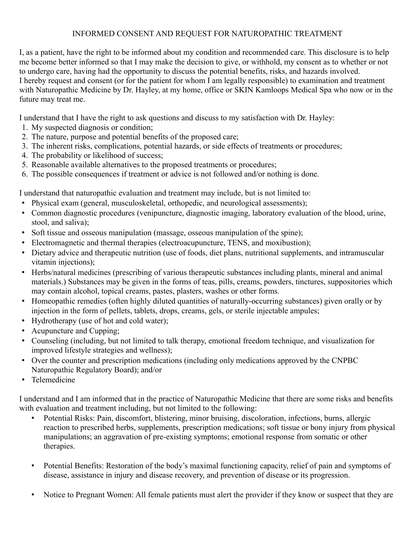## INFORMED CONSENT AND REQUEST FOR NATUROPATHIC TREATMENT

I, as a patient, have the right to be informed about my condition and recommended care. This disclosure is to help me become better informed so that I may make the decision to give, or withhold, my consent as to whether or not to undergo care, having had the opportunity to discuss the potential benefits, risks, and hazards involved. I hereby request and consent (or for the patient for whom I am legally responsible) to examination and treatment with Naturopathic Medicine by Dr. Hayley, at my home, office or SKIN Kamloops Medical Spa who now or in the future may treat me.

I understand that I have the right to ask questions and discuss to my satisfaction with Dr. Hayley:

- 1. My suspected diagnosis or condition;
- 2. The nature, purpose and potential benefits of the proposed care;
- 3. The inherent risks, complications, potential hazards, or side effects of treatments or procedures;
- 4. The probability or likelihood of success;
- 5. Reasonable available alternatives to the proposed treatments or procedures;
- 6. The possible consequences if treatment or advice is not followed and/or nothing is done.

I understand that naturopathic evaluation and treatment may include, but is not limited to:

- Physical exam (general, musculoskeletal, orthopedic, and neurological assessments);
- Common diagnostic procedures (venipuncture, diagnostic imaging, laboratory evaluation of the blood, urine, stool, and saliva);
- Soft tissue and osseous manipulation (massage, osseous manipulation of the spine);
- Electromagnetic and thermal therapies (electroacupuncture, TENS, and moxibustion);
- Dietary advice and therapeutic nutrition (use of foods, diet plans, nutritional supplements, and intramuscular vitamin injections);
- Herbs/natural medicines (prescribing of various therapeutic substances including plants, mineral and animal materials.) Substances may be given in the forms of teas, pills, creams, powders, tinctures, suppositories which may contain alcohol, topical creams, pastes, plasters, washes or other forms.
- Homeopathic remedies (often highly diluted quantities of naturally-occurring substances) given orally or by injection in the form of pellets, tablets, drops, creams, gels, or sterile injectable ampules;
- Hydrotherapy (use of hot and cold water);
- Acupuncture and Cupping;
- Counseling (including, but not limited to talk therapy, emotional freedom technique, and visualization for improved lifestyle strategies and wellness);
- Over the counter and prescription medications (including only medications approved by the CNPBC Naturopathic Regulatory Board); and/or
- Telemedicine

I understand and I am informed that in the practice of Naturopathic Medicine that there are some risks and benefits with evaluation and treatment including, but not limited to the following:

- Potential Risks: Pain, discomfort, blistering, minor bruising, discoloration, infections, burns, allergic reaction to prescribed herbs, supplements, prescription medications; soft tissue or bony injury from physical manipulations; an aggravation of pre-existing symptoms; emotional response from somatic or other therapies.
- Potential Benefits: Restoration of the body's maximal functioning capacity, relief of pain and symptoms of disease, assistance in injury and disease recovery, and prevention of disease or its progression.
- Notice to Pregnant Women: All female patients must alert the provider if they know or suspect that they are